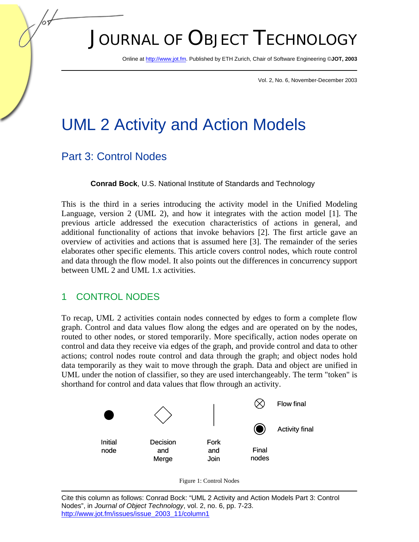# JOURNAL OF OBJECT TECHNOLOGY

Online [at http://www.jot.fm. P](http://www.jot.fm)ublished by ETH Zurich, Chair of Software Engineering ©**JOT, 2003** 

Vol. 2, No. 6, November-December 2003

## UML 2 Activity and Action Models

## Part 3: Control Nodes

**Conrad Bock**, U.S. National Institute of Standards and Technology

This is the third in a series introducing the activity model in the Unified Modeling Language, version 2 (UML 2), and how it integrates with the action model [1]. The previous article addressed the execution characteristics of actions in general, and additional functionality of actions that invoke behaviors [2]. The first article gave an overview of activities and actions that is assumed here [3]. The remainder of the series elaborates other specific elements. This article covers control nodes, which route control and data through the flow model. It also points out the differences in concurrency support between UML 2 and UML 1.x activities.

## 1 CONTROL NODES

To recap, UML 2 activities contain nodes connected by edges to form a complete flow graph. Control and data values flow along the edges and are operated on by the nodes, routed to other nodes, or stored temporarily. More specifically, action nodes operate on control and data they receive via edges of the graph, and provide control and data to other actions; control nodes route control and data through the graph; and object nodes hold data temporarily as they wait to move through the graph. Data and object are unified in UML under the notion of classifier, so they are used interchangeably. The term "token" is shorthand for control and data values that flow through an activity.



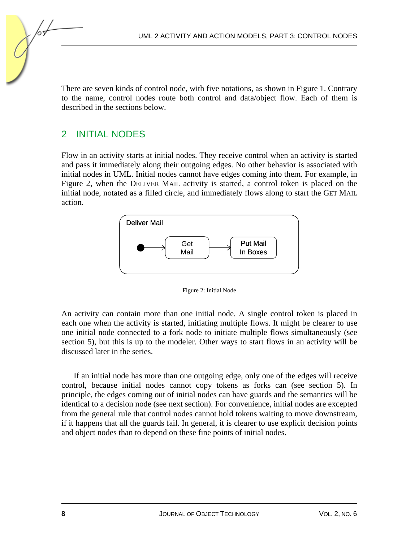There are seven kinds of control node, with five notations, as shown in Figure 1. Contrary to the name, control nodes route both control and data/object flow. Each of them is described in the sections below.

#### 2 INITIAL NODES

Flow in an activity starts at initial nodes. They receive control when an activity is started and pass it immediately along their outgoing edges. No other behavior is associated with initial nodes in UML. Initial nodes cannot have edges coming into them. For example, in Figure 2, when the DELIVER MAIL activity is started, a control token is placed on the initial node, notated as a filled circle, and immediately flows along to start the GET MAIL action.





An activity can contain more than one initial node. A single control token is placed in each one when the activity is started, initiating multiple flows. It might be clearer to use one initial node connected to a fork node to initiate multiple flows simultaneously (see section 5), but this is up to the modeler. Other ways to start flows in an activity will be discussed later in the series.

If an initial node has more than one outgoing edge, only one of the edges will receive control, because initial nodes cannot copy tokens as forks can (see section 5). In principle, the edges coming out of initial nodes can have guards and the semantics will be identical to a decision node (see next section). For convenience, initial nodes are excepted from the general rule that control nodes cannot hold tokens waiting to move downstream, if it happens that all the guards fail. In general, it is clearer to use explicit decision points and object nodes than to depend on these fine points of initial nodes.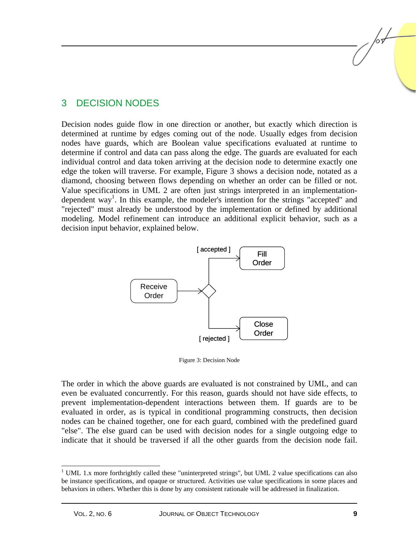#### 3 DECISION NODES

Decision nodes guide flow in one direction or another, but exactly which direction is determined at runtime by edges coming out of the node. Usually edges from decision nodes have guards, which are Boolean value specifications evaluated at runtime to determine if control and data can pass along the edge. The guards are evaluated for each individual control and data token arriving at the decision node to determine exactly one edge the token will traverse. For example, Figure 3 shows a decision node, notated as a diamond, choosing between flows depending on whether an order can be filled or not. Value specifications in UML 2 are often just strings interpreted in an implementationdependent way<sup>1</sup>. In this example, the modeler's intention for the strings "accepted" and "rejected" must already be understood by the implementation or defined by additional modeling. Model refinement can introduce an additional explicit behavior, such as a decision input behavior, explained below.



Figure 3: Decision Node

The order in which the above guards are evaluated is not constrained by UML, and can even be evaluated concurrently. For this reason, guards should not have side effects, to prevent implementation-dependent interactions between them. If guards are to be evaluated in order, as is typical in conditional programming constructs, then decision nodes can be chained together, one for each guard, combined with the predefined guard "else". The else guard can be used with decision nodes for a single outgoing edge to indicate that it should be traversed if all the other guards from the decision node fail.

<sup>&</sup>lt;sup>1</sup> UML 1.x more forthrightly called these "uninterpreted strings", but UML 2 value specifications can also be instance specifications, and opaque or structured. Activities use value specifications in some places and behaviors in others. Whether this is done by any consistent rationale will be addressed in finalization.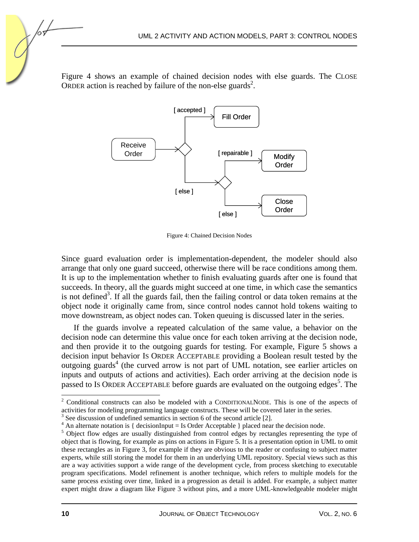Figure 4 shows an example of chained decision nodes with else guards. The CLOSE ORDER action is reached by failure of the non-else guards<sup>2</sup>.



Figure 4: Chained Decision Nodes

Since guard evaluation order is implementation-dependent, the modeler should also arrange that only one guard succeed, otherwise there will be race conditions among them. It is up to the implementation whether to finish evaluating guards after one is found that succeeds. In theory, all the guards might succeed at one time, in which case the semantics is not defined<sup>3</sup>. If all the guards fail, then the failing control or data token remains at the object node it originally came from, since control nodes cannot hold tokens waiting to move downstream, as object nodes can. Token queuing is discussed later in the series.

If the guards involve a repeated calculation of the same value, a behavior on the decision node can determine this value once for each token arriving at the decision node, and then provide it to the outgoing guards for testing. For example, Figure 5 shows a decision input behavior IS ORDER ACCEPTABLE providing a Boolean result tested by the outgoing guards<sup>4</sup> (the curved arrow is not part of UML notation, see earlier articles on inputs and outputs of actions and activities). Each order arriving at the decision node is passed to Is ORDER ACCEPTABLE before guards are evaluated on the outgoing edges<sup>5</sup>. The

 $2^2$  Conditional constructs can also be modeled with a CONDITIONALNODE. This is one of the aspects of activities for modeling programming language constructs. These will be covered later in the series.

 $3$  See discussion of undefined semantics in section 6 of the second article [2].

<sup>&</sup>lt;sup>4</sup> An alternate notation is { decisionInput = Is Order Acceptable } placed near the decision node.

<sup>&</sup>lt;sup>5</sup> Object flow edges are usually distinguished from control edges by rectangles representing the type of object that is flowing, for example as pins on actions in Figure 5. It is a presentation option in UML to omit these rectangles as in Figure 3, for example if they are obvious to the reader or confusing to subject matter experts, while still storing the model for them in an underlying UML repository. Special views such as this are a way activities support a wide range of the development cycle, from process sketching to executable program specifications. Model refinement is another technique, which refers to multiple models for the same process existing over time, linked in a progression as detail is added. For example, a subject matter expert might draw a diagram like Figure 3 without pins, and a more UML-knowledgeable modeler might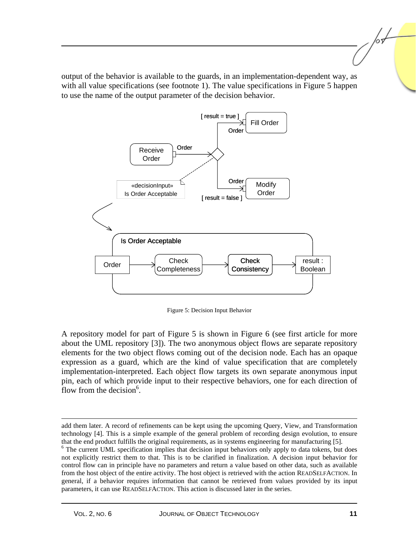output of the behavior is available to the guards, in an implementation-dependent way, as with all value specifications (see footnote 1). The value specifications in Figure 5 happen to use the name of the output parameter of the decision behavior.



Figure 5: Decision Input Behavior

A repository model for part of Figure 5 is shown in Figure 6 (see first article for more about the UML repository [3]). The two anonymous object flows are separate repository elements for the two object flows coming out of the decision node. Each has an opaque expression as a guard, which are the kind of value specification that are completely implementation-interpreted. Each object flow targets its own separate anonymous input pin, each of which provide input to their respective behaviors, one for each direction of flow from the decision $6$ .

 $\overline{a}$ 

add them later. A record of refinements can be kept using the upcoming Query, View, and Transformation technology [4]. This is a simple example of the general problem of recording design evolution, to ensure that the end product fulfills the original requirements, as in systems engineering for manufacturing [5]. 6

<sup>&</sup>lt;sup>6</sup> The current UML specification implies that decision input behaviors only apply to data tokens, but does not explicitly restrict them to that. This is to be clarified in finalization. A decision input behavior for control flow can in principle have no parameters and return a value based on other data, such as available from the host object of the entire activity. The host object is retrieved with the action READSELFACTION. In general, if a behavior requires information that cannot be retrieved from values provided by its input parameters, it can use READSELFACTION. This action is discussed later in the series.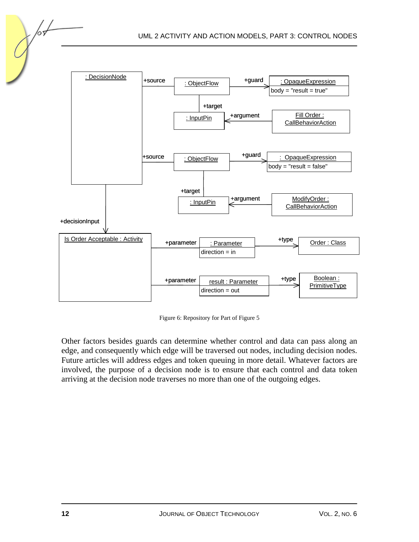

Figure 6: Repository for Part of Figure 5

Other factors besides guards can determine whether control and data can pass along an edge, and consequently which edge will be traversed out nodes, including decision nodes. Future articles will address edges and token queuing in more detail. Whatever factors are involved, the purpose of a decision node is to ensure that each control and data token arriving at the decision node traverses no more than one of the outgoing edges.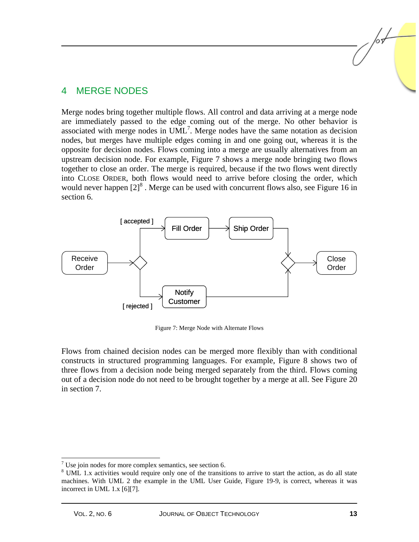#### 4 MERGE NODES

Merge nodes bring together multiple flows. All control and data arriving at a merge node are immediately passed to the edge coming out of the merge. No other behavior is associated with merge nodes in  $UML^7$ . Merge nodes have the same notation as decision nodes, but merges have multiple edges coming in and one going out, whereas it is the opposite for decision nodes. Flows coming into a merge are usually alternatives from an upstream decision node. For example, Figure 7 shows a merge node bringing two flows together to close an order. The merge is required, because if the two flows went directly into CLOSE ORDER, both flows would need to arrive before closing the order, which would never happen  $[2]^8$ . Merge can be used with concurrent flows also, see Figure 16 in section 6.



Figure 7: Merge Node with Alternate Flows

Flows from chained decision nodes can be merged more flexibly than with conditional constructs in structured programming languages. For example, Figure 8 shows two of three flows from a decision node being merged separately from the third. Flows coming out of a decision node do not need to be brought together by a merge at all. See Figure 20 in section 7.

<sup>&</sup>lt;sup>7</sup> Use join nodes for more complex semantics, see section 6.

<sup>&</sup>lt;sup>8</sup> UML 1.x activities would require only one of the transitions to arrive to start the action, as do all state machines. With UML 2 the example in the UML User Guide, Figure 19-9, is correct, whereas it was incorrect in UML 1.x [6][7].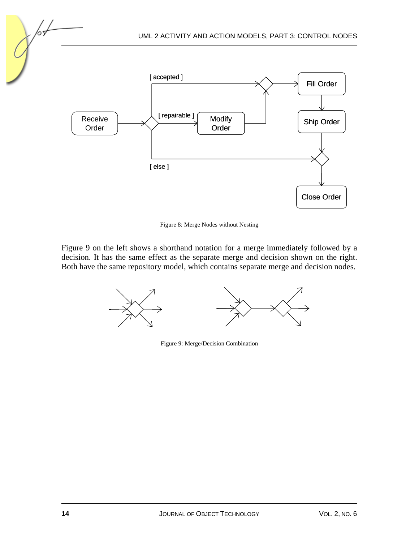

Figure 8: Merge Nodes without Nesting

Figure 9 on the left shows a shorthand notation for a merge immediately followed by a decision. It has the same effect as the separate merge and decision shown on the right. Both have the same repository model, which contains separate merge and decision nodes.



Figure 9: Merge/Decision Combination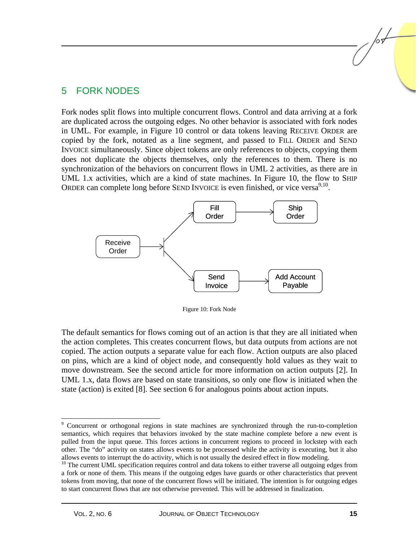#### 5 FORK NODES

Fork nodes split flows into multiple concurrent flows. Control and data arriving at a fork are duplicated across the outgoing edges. No other behavior is associated with fork nodes in UML. For example, in Figure 10 control or data tokens leaving RECEIVE ORDER are copied by the fork, notated as a line segment, and passed to FILL ORDER and SEND INVOICE simultaneously. Since object tokens are only references to objects, copying them does not duplicate the objects themselves, only the references to them. There is no synchronization of the behaviors on concurrent flows in UML 2 activities, as there are in UML 1.x activities, which are a kind of state machines. In Figure 10, the flow to SHIP ORDER can complete long before SEND INVOICE is even finished, or vice versa<sup>9,10</sup>.



Figure 10: Fork Node

The default semantics for flows coming out of an action is that they are all initiated when the action completes. This creates concurrent flows, but data outputs from actions are not copied. The action outputs a separate value for each flow. Action outputs are also placed on pins, which are a kind of object node, and consequently hold values as they wait to move downstream. See the second article for more information on action outputs [2]. In UML 1.x, data flows are based on state transitions, so only one flow is initiated when the state (action) is exited [8]. See section 6 for analogous points about action inputs.

<sup>9</sup> Concurrent or orthogonal regions in state machines are synchronized through the run-to-completion semantics, which requires that behaviors invoked by the state machine complete before a new event is pulled from the input queue. This forces actions in concurrent regions to proceed in lockstep with each other. The "do" activity on states allows events to be processed while the activity is executing, but it also allows events to interrupt the do activity, which is not usually the desired effect in flow modeling.<br><sup>10</sup> The current UML specification requires control and data tokens to either traverse all outgoing edges from

a fork or none of them. This means if the outgoing edges have guards or other characteristics that prevent tokens from moving, that none of the concurrent flows will be initiated. The intention is for outgoing edges to start concurrent flows that are not otherwise prevented. This will be addressed in finalization.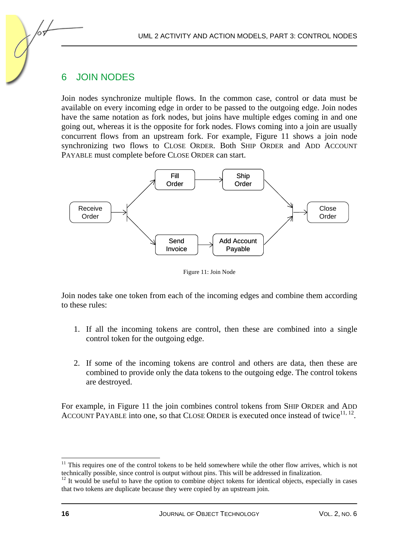## 6 JOIN NODES

Join nodes synchronize multiple flows. In the common case, control or data must be available on every incoming edge in order to be passed to the outgoing edge. Join nodes have the same notation as fork nodes, but joins have multiple edges coming in and one going out, whereas it is the opposite for fork nodes. Flows coming into a join are usually concurrent flows from an upstream fork. For example, Figure 11 shows a join node synchronizing two flows to CLOSE ORDER. Both SHIP ORDER and ADD ACCOUNT PAYABLE must complete before CLOSE ORDER can start.



Figure 11: Join Node

Join nodes take one token from each of the incoming edges and combine them according to these rules:

- 1. If all the incoming tokens are control, then these are combined into a single control token for the outgoing edge.
- 2. If some of the incoming tokens are control and others are data, then these are combined to provide only the data tokens to the outgoing edge. The control tokens are destroyed.

For example, in Figure 11 the join combines control tokens from SHIP ORDER and ADD ACCOUNT PAYABLE into one, so that CLOSE ORDER is executed once instead of twice<sup>11, 12</sup>.

 $11$  This requires one of the control tokens to be held somewhere while the other flow arrives, which is not technically possible, since control is output without pins. This will be addressed in finalization. 12 It would be useful to have the option to combine object tokens for identical objects, especially in cases

that two tokens are duplicate because they were copied by an upstream join.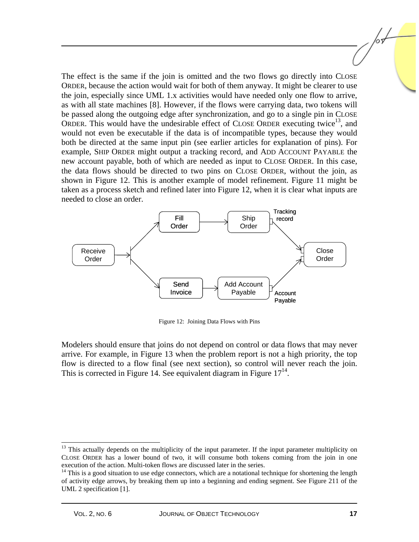The effect is the same if the join is omitted and the two flows go directly into CLOSE ORDER, because the action would wait for both of them anyway. It might be clearer to use the join, especially since UML 1.x activities would have needed only one flow to arrive, as with all state machines [8]. However, if the flows were carrying data, two tokens will be passed along the outgoing edge after synchronization, and go to a single pin in CLOSE ORDER. This would have the undesirable effect of CLOSE ORDER executing twice<sup>13</sup>, and would not even be executable if the data is of incompatible types, because they would both be directed at the same input pin (see earlier articles for explanation of pins). For example, SHIP ORDER might output a tracking record, and ADD ACCOUNT PAYABLE the new account payable, both of which are needed as input to CLOSE ORDER. In this case, the data flows should be directed to two pins on CLOSE ORDER, without the join, as shown in Figure 12. This is another example of model refinement. Figure 11 might be taken as a process sketch and refined later into Figure 12, when it is clear what inputs are needed to close an order.



Figure 12: Joining Data Flows with Pins

Modelers should ensure that joins do not depend on control or data flows that may never arrive. For example, in Figure 13 when the problem report is not a high priority, the top flow is directed to a flow final (see next section), so control will never reach the join. This is corrected in Figure 14. See equivalent diagram in Figure  $17<sup>14</sup>$ .

<sup>&</sup>lt;sup>13</sup> This actually depends on the multiplicity of the input parameter. If the input parameter multiplicity on CLOSE ORDER has a lower bound of two, it will consume both tokens coming from the join in one

 $14$  This is a good situation to use edge connectors, which are a notational technique for shortening the length of activity edge arrows, by breaking them up into a beginning and ending segment. See Figure 211 of the UML 2 specification [1].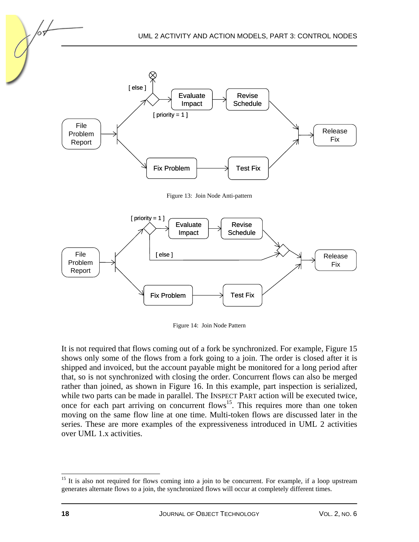

Figure 13: Join Node Anti-pattern



Figure 14: Join Node Pattern

It is not required that flows coming out of a fork be synchronized. For example, Figure 15 shows only some of the flows from a fork going to a join. The order is closed after it is shipped and invoiced, but the account payable might be monitored for a long period after that, so is not synchronized with closing the order. Concurrent flows can also be merged rather than joined, as shown in Figure 16. In this example, part inspection is serialized, while two parts can be made in parallel. The INSPECT PART action will be executed twice, once for each part arriving on concurrent flows<sup>15</sup>. This requires more than one token moving on the same flow line at one time. Multi-token flows are discussed later in the series. These are more examples of the expressiveness introduced in UML 2 activities over UML 1.x activities.

l <sup>15</sup> It is also not required for flows coming into a join to be concurrent. For example, if a loop upstream generates alternate flows to a join, the synchronized flows will occur at completely different times.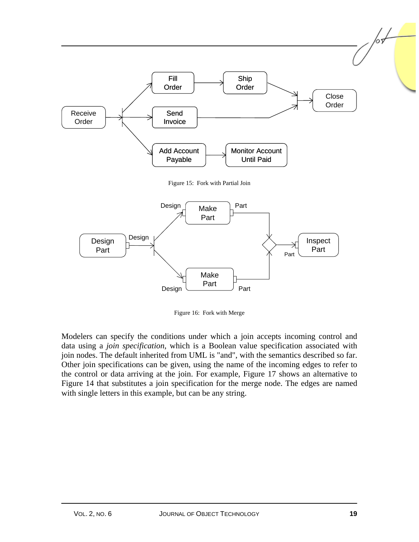

Figure 16: Fork with Merge

Modelers can specify the conditions under which a join accepts incoming control and data using a *join specification*, which is a Boolean value specification associated with join nodes. The default inherited from UML is "and", with the semantics described so far. Other join specifications can be given, using the name of the incoming edges to refer to the control or data arriving at the join. For example, Figure 17 shows an alternative to Figure 14 that substitutes a join specification for the merge node. The edges are named with single letters in this example, but can be any string.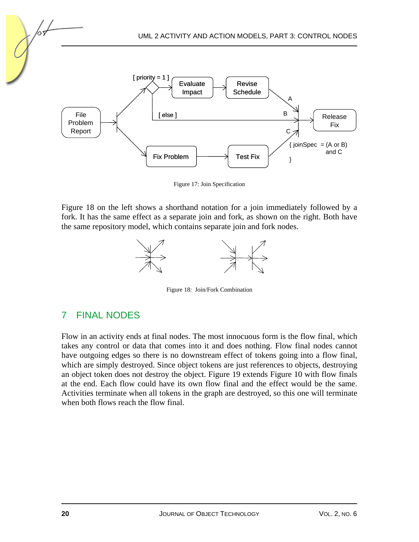

Figure 17: Join Specification

Figure 18 on the left shows a shorthand notation for a join immediately followed by a fork. It has the same effect as a separate join and fork, as shown on the right. Both have the same repository model, which contains separate join and fork nodes.



Figure 18: Join/Fork Combination

#### 7 FINAL NODES

Flow in an activity ends at final nodes. The most innocuous form is the flow final, which takes any control or data that comes into it and does nothing. Flow final nodes cannot have outgoing edges so there is no downstream effect of tokens going into a flow final, which are simply destroyed. Since object tokens are just references to objects, destroying an object token does not destroy the object. Figure 19 extends Figure 10 with flow finals at the end. Each flow could have its own flow final and the effect would be the same. Activities terminate when all tokens in the graph are destroyed, so this one will terminate when both flows reach the flow final.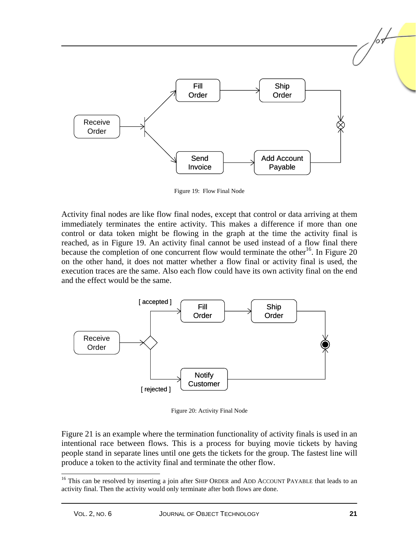

Figure 19: Flow Final Node

Activity final nodes are like flow final nodes, except that control or data arriving at them immediately terminates the entire activity. This makes a difference if more than one control or data token might be flowing in the graph at the time the activity final is reached, as in Figure 19. An activity final cannot be used instead of a flow final there because the completion of one concurrent flow would terminate the other<sup>16</sup>. In Figure 20 on the other hand, it does not matter whether a flow final or activity final is used, the execution traces are the same. Also each flow could have its own activity final on the end and the effect would be the same.



Figure 20: Activity Final Node

Figure 21 is an example where the termination functionality of activity finals is used in an intentional race between flows. This is a process for buying movie tickets by having people stand in separate lines until one gets the tickets for the group. The fastest line will produce a token to the activity final and terminate the other flow.

<sup>&</sup>lt;sup>16</sup> This can be resolved by inserting a join after SHIP ORDER and ADD ACCOUNT PAYABLE that leads to an activity final. Then the activity would only terminate after both flows are done.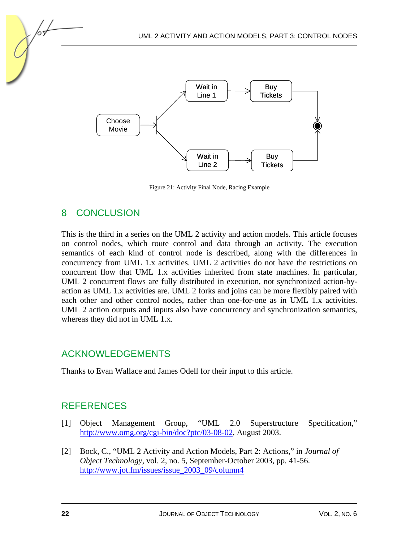

Figure 21: Activity Final Node, Racing Example

### 8 CONCLUSION

This is the third in a series on the UML 2 activity and action models. This article focuses on control nodes, which route control and data through an activity. The execution semantics of each kind of control node is described, along with the differences in concurrency from UML 1.x activities. UML 2 activities do not have the restrictions on concurrent flow that UML 1.x activities inherited from state machines. In particular, UML 2 concurrent flows are fully distributed in execution, not synchronized action-byaction as UML 1.x activities are. UML 2 forks and joins can be more flexibly paired with each other and other control nodes, rather than one-for-one as in UML 1.x activities. UML 2 action outputs and inputs also have concurrency and synchronization semantics, whereas they did not in UML 1.x.

## ACKNOWLEDGEMENTS

Thanks to Evan Wallace and James Odell for their input to this article.

## **REFERENCES**

- [1] Object Management Group, "UML 2.0 Superstructure Specification," [http://www.omg.org/cgi-bin/doc?ptc/03-08-02,](http://www.omg.org/cgi-bin/doc?ptc/03-08-02) August 2003.
- [2] Bock, C., "UML 2 Activity and Action Models, Part 2: Actions," in *Journal of Object Technology*, vol. 2, no. 5, September-October 2003, pp. 41-56. [http://www.jot.fm/issues/issue\\_2003\\_09/column4](http://www.jot.fm/issues/issue_2003_09/column4)